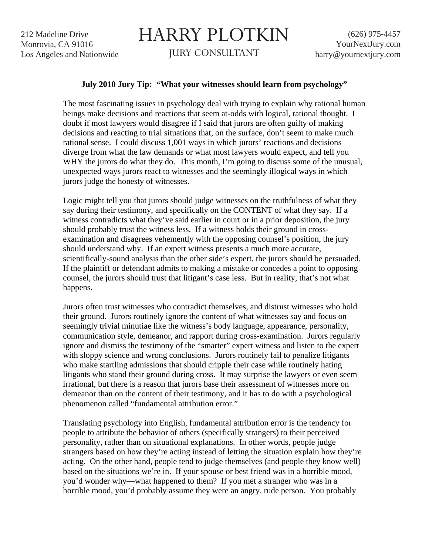## HARRY PLOTKIN

JURY CONSULTANT

## **July 2010 Jury Tip: "What your witnesses should learn from psychology"**

The most fascinating issues in psychology deal with trying to explain why rational human beings make decisions and reactions that seem at-odds with logical, rational thought. I doubt if most lawyers would disagree if I said that jurors are often guilty of making decisions and reacting to trial situations that, on the surface, don't seem to make much rational sense. I could discuss 1,001 ways in which jurors' reactions and decisions diverge from what the law demands or what most lawyers would expect, and tell you WHY the jurors do what they do. This month, I'm going to discuss some of the unusual, unexpected ways jurors react to witnesses and the seemingly illogical ways in which jurors judge the honesty of witnesses.

Logic might tell you that jurors should judge witnesses on the truthfulness of what they say during their testimony, and specifically on the CONTENT of what they say. If a witness contradicts what they've said earlier in court or in a prior deposition, the jury should probably trust the witness less. If a witness holds their ground in crossexamination and disagrees vehemently with the opposing counsel's position, the jury should understand why. If an expert witness presents a much more accurate, scientifically-sound analysis than the other side's expert, the jurors should be persuaded. If the plaintiff or defendant admits to making a mistake or concedes a point to opposing counsel, the jurors should trust that litigant's case less. But in reality, that's not what happens.

Jurors often trust witnesses who contradict themselves, and distrust witnesses who hold their ground. Jurors routinely ignore the content of what witnesses say and focus on seemingly trivial minutiae like the witness's body language, appearance, personality, communication style, demeanor, and rapport during cross-examination. Jurors regularly ignore and dismiss the testimony of the "smarter" expert witness and listen to the expert with sloppy science and wrong conclusions. Jurors routinely fail to penalize litigants who make startling admissions that should cripple their case while routinely hating litigants who stand their ground during cross. It may surprise the lawyers or even seem irrational, but there is a reason that jurors base their assessment of witnesses more on demeanor than on the content of their testimony, and it has to do with a psychological phenomenon called "fundamental attribution error."

Translating psychology into English, fundamental attribution error is the tendency for people to attribute the behavior of others (specifically strangers) to their perceived personality, rather than on situational explanations. In other words, people judge strangers based on how they're acting instead of letting the situation explain how they're acting. On the other hand, people tend to judge themselves (and people they know well) based on the situations we're in. If your spouse or best friend was in a horrible mood, you'd wonder why—what happened to them? If you met a stranger who was in a horrible mood, you'd probably assume they were an angry, rude person. You probably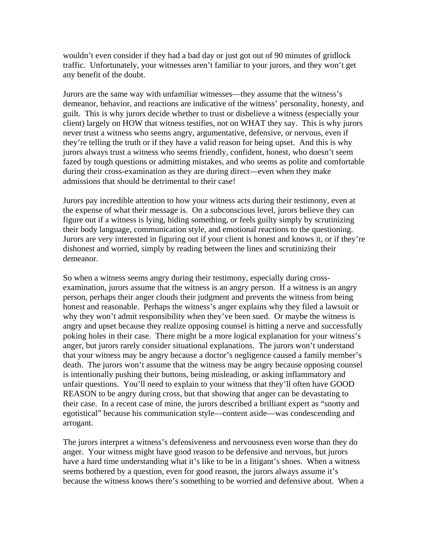wouldn't even consider if they had a bad day or just got out of 90 minutes of gridlock traffic. Unfortunately, your witnesses aren't familiar to your jurors, and they won't get any benefit of the doubt.

Jurors are the same way with unfamiliar witnesses—they assume that the witness's demeanor, behavior, and reactions are indicative of the witness' personality, honesty, and guilt. This is why jurors decide whether to trust or disbelieve a witness (especially your client) largely on HOW that witness testifies, not on WHAT they say. This is why jurors never trust a witness who seems angry, argumentative, defensive, or nervous, even if they're telling the truth or if they have a valid reason for being upset. And this is why jurors always trust a witness who seems friendly, confident, honest, who doesn't seem fazed by tough questions or admitting mistakes, and who seems as polite and comfortable during their cross-examination as they are during direct—even when they make admissions that should be detrimental to their case!

Jurors pay incredible attention to how your witness acts during their testimony, even at the expense of what their message is. On a subconscious level, jurors believe they can figure out if a witness is lying, hiding something, or feels guilty simply by scrutinizing their body language, communication style, and emotional reactions to the questioning. Jurors are very interested in figuring out if your client is honest and knows it, or if they're dishonest and worried, simply by reading between the lines and scrutinizing their demeanor.

So when a witness seems angry during their testimony, especially during crossexamination, jurors assume that the witness is an angry person. If a witness is an angry person, perhaps their anger clouds their judgment and prevents the witness from being honest and reasonable. Perhaps the witness's anger explains why they filed a lawsuit or why they won't admit responsibility when they've been sued. Or maybe the witness is angry and upset because they realize opposing counsel is hitting a nerve and successfully poking holes in their case. There might be a more logical explanation for your witness's anger, but jurors rarely consider situational explanations. The jurors won't understand that your witness may be angry because a doctor's negligence caused a family member's death. The jurors won't assume that the witness may be angry because opposing counsel is intentionally pushing their buttons, being misleading, or asking inflammatory and unfair questions. You'll need to explain to your witness that they'll often have GOOD REASON to be angry during cross, but that showing that anger can be devastating to their case. In a recent case of mine, the jurors described a brilliant expert as "snotty and egotistical" because his communication style—content aside—was condescending and arrogant.

The jurors interpret a witness's defensiveness and nervousness even worse than they do anger. Your witness might have good reason to be defensive and nervous, but jurors have a hard time understanding what it's like to be in a litigant's shoes. When a witness seems bothered by a question, even for good reason, the jurors always assume it's because the witness knows there's something to be worried and defensive about. When a